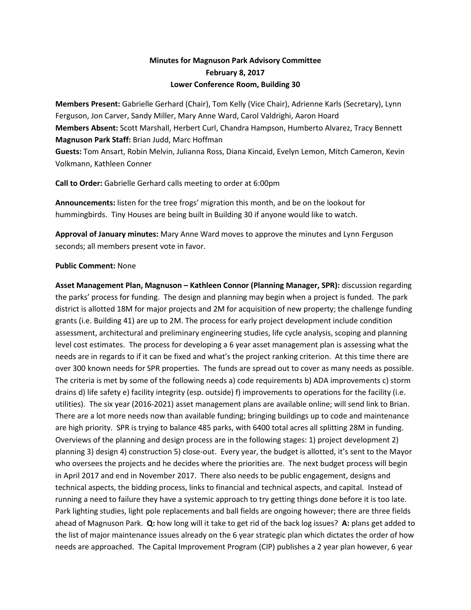## **Minutes for Magnuson Park Advisory Committee February 8, 2017 Lower Conference Room, Building 30**

**Members Present:** Gabrielle Gerhard (Chair), Tom Kelly (Vice Chair), Adrienne Karls (Secretary), Lynn Ferguson, Jon Carver, Sandy Miller, Mary Anne Ward, Carol Valdrighi, Aaron Hoard **Members Absent:** Scott Marshall, Herbert Curl, Chandra Hampson, Humberto Alvarez, Tracy Bennett **Magnuson Park Staff:** Brian Judd, Marc Hoffman **Guests:** Tom Ansart, Robin Melvin, Julianna Ross, Diana Kincaid, Evelyn Lemon, Mitch Cameron, Kevin Volkmann, Kathleen Conner

**Call to Order:** Gabrielle Gerhard calls meeting to order at 6:00pm

**Announcements:** listen for the tree frogs' migration this month, and be on the lookout for hummingbirds. Tiny Houses are being built in Building 30 if anyone would like to watch.

**Approval of January minutes:** Mary Anne Ward moves to approve the minutes and Lynn Ferguson seconds; all members present vote in favor.

## **Public Comment:** None

**Asset Management Plan, Magnuson – Kathleen Connor (Planning Manager, SPR):** discussion regarding the parks' process for funding. The design and planning may begin when a project is funded. The park district is allotted 18M for major projects and 2M for acquisition of new property; the challenge funding grants (i.e. Building 41) are up to 2M. The process for early project development include condition assessment, architectural and preliminary engineering studies, life cycle analysis, scoping and planning level cost estimates. The process for developing a 6 year asset management plan is assessing what the needs are in regards to if it can be fixed and what's the project ranking criterion. At this time there are over 300 known needs for SPR properties. The funds are spread out to cover as many needs as possible. The criteria is met by some of the following needs a) code requirements b) ADA improvements c) storm drains d) life safety e) facility integrity (esp. outside) f) improvements to operations for the facility (i.e. utilities). The six year (2016-2021) asset management plans are available online; will send link to Brian. There are a lot more needs now than available funding; bringing buildings up to code and maintenance are high priority. SPR is trying to balance 485 parks, with 6400 total acres all splitting 28M in funding. Overviews of the planning and design process are in the following stages: 1) project development 2) planning 3) design 4) construction 5) close-out. Every year, the budget is allotted, it's sent to the Mayor who oversees the projects and he decides where the priorities are. The next budget process will begin in April 2017 and end in November 2017. There also needs to be public engagement, designs and technical aspects, the bidding process, links to financial and technical aspects, and capital. Instead of running a need to failure they have a systemic approach to try getting things done before it is too late. Park lighting studies, light pole replacements and ball fields are ongoing however; there are three fields ahead of Magnuson Park. **Q:** how long will it take to get rid of the back log issues? **A:** plans get added to the list of major maintenance issues already on the 6 year strategic plan which dictates the order of how needs are approached. The Capital Improvement Program (CIP) publishes a 2 year plan however, 6 year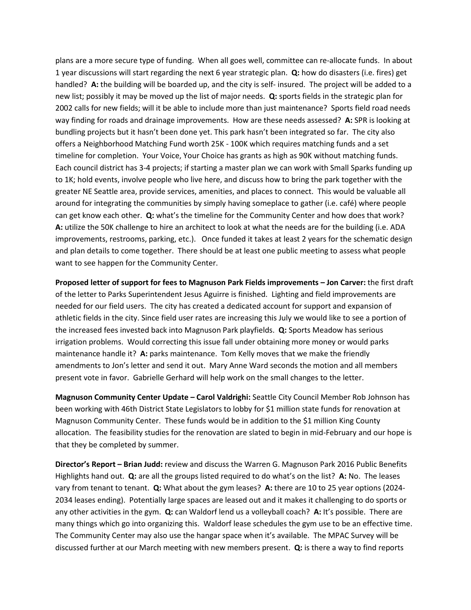plans are a more secure type of funding. When all goes well, committee can re-allocate funds. In about 1 year discussions will start regarding the next 6 year strategic plan. **Q:** how do disasters (i.e. fires) get handled? **A:** the building will be boarded up, and the city is self- insured. The project will be added to a new list; possibly it may be moved up the list of major needs. **Q:** sports fields in the strategic plan for 2002 calls for new fields; will it be able to include more than just maintenance? Sports field road needs way finding for roads and drainage improvements. How are these needs assessed? **A:** SPR is looking at bundling projects but it hasn't been done yet. This park hasn't been integrated so far. The city also offers a Neighborhood Matching Fund worth 25K - 100K which requires matching funds and a set timeline for completion. Your Voice, Your Choice has grants as high as 90K without matching funds. Each council district has 3-4 projects; if starting a master plan we can work with Small Sparks funding up to 1K; hold events, involve people who live here, and discuss how to bring the park together with the greater NE Seattle area, provide services, amenities, and places to connect. This would be valuable all around for integrating the communities by simply having someplace to gather (i.e. café) where people can get know each other. **Q:** what's the timeline for the Community Center and how does that work? **A:** utilize the 50K challenge to hire an architect to look at what the needs are for the building (i.e. ADA improvements, restrooms, parking, etc.). Once funded it takes at least 2 years for the schematic design and plan details to come together. There should be at least one public meeting to assess what people want to see happen for the Community Center.

**Proposed letter of support for fees to Magnuson Park Fields improvements – Jon Carver:** the first draft of the letter to Parks Superintendent Jesus Aguirre is finished. Lighting and field improvements are needed for our field users. The city has created a dedicated account for support and expansion of athletic fields in the city. Since field user rates are increasing this July we would like to see a portion of the increased fees invested back into Magnuson Park playfields. **Q:** Sports Meadow has serious irrigation problems. Would correcting this issue fall under obtaining more money or would parks maintenance handle it? A: parks maintenance. Tom Kelly moves that we make the friendly amendments to Jon's letter and send it out. Mary Anne Ward seconds the motion and all members present vote in favor. Gabrielle Gerhard will help work on the small changes to the letter.

**Magnuson Community Center Update – Carol Valdrighi:** Seattle City Council Member Rob Johnson has been working with 46th District State Legislators to lobby for \$1 million state funds for renovation at Magnuson Community Center. These funds would be in addition to the \$1 million King County allocation. The feasibility studies for the renovation are slated to begin in mid-February and our hope is that they be completed by summer.

**Director's Report – Brian Judd:** review and discuss the Warren G. Magnuson Park 2016 Public Benefits Highlights hand out. **Q:** are all the groups listed required to do what's on the list? **A:** No. The leases vary from tenant to tenant. **Q:** What about the gym leases? **A:** there are 10 to 25 year options (2024- 2034 leases ending). Potentially large spaces are leased out and it makes it challenging to do sports or any other activities in the gym. **Q:** can Waldorf lend us a volleyball coach? **A:** It's possible. There are many things which go into organizing this. Waldorf lease schedules the gym use to be an effective time. The Community Center may also use the hangar space when it's available. The MPAC Survey will be discussed further at our March meeting with new members present. **Q:** is there a way to find reports